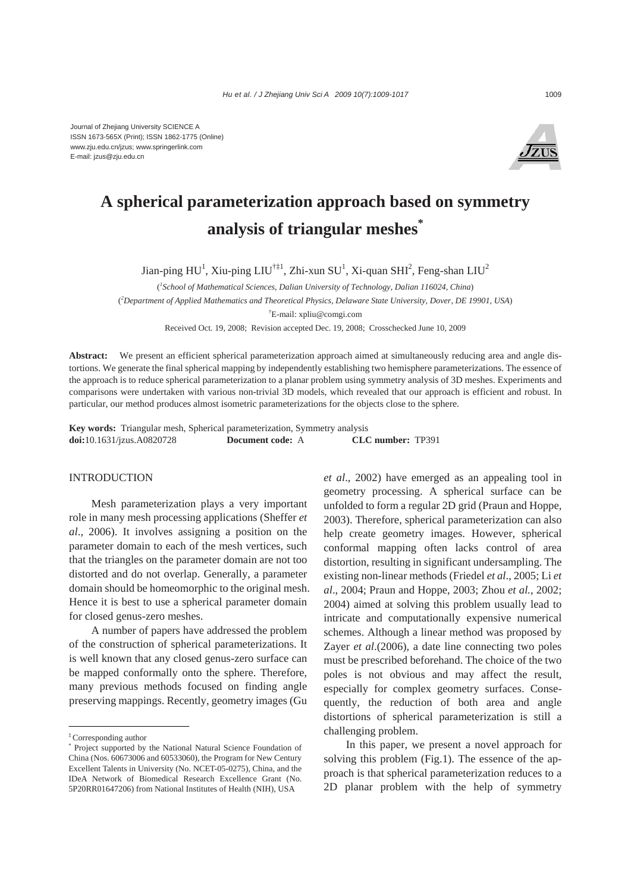Journal of Zhejiang University SCIENCE A ISSN 1673-565X (Print); ISSN 1862-1775 (Online) www.zju.edu.cn/jzus; www.springerlink.com E-mail: jzus@zju.edu.cn



# **A spherical parameterization approach based on symmetry analysis of triangular meshes\***

Jian-ping HU<sup>1</sup>, Xiu-ping LIU<sup>†‡1</sup>, Zhi-xun SU<sup>1</sup>, Xi-quan SHI<sup>2</sup>, Feng-shan LIU<sup>2</sup>

( *1 School of Mathematical Sciences, Dalian University of Technology, Dalian 116024, China*) ( *2 Department of Applied Mathematics and Theoretical Physics, Delaware State University, Dover, DE 19901, USA*) † E-mail: xpliu@comgi.com

Received Oct. 19, 2008; Revision accepted Dec. 19, 2008; Crosschecked June 10, 2009

**Abstract:** We present an efficient spherical parameterization approach aimed at simultaneously reducing area and angle distortions. We generate the final spherical mapping by independently establishing two hemisphere parameterizations. The essence of the approach is to reduce spherical parameterization to a planar problem using symmetry analysis of 3D meshes. Experiments and comparisons were undertaken with various non-trivial 3D models, which revealed that our approach is efficient and robust. In particular, our method produces almost isometric parameterizations for the objects close to the sphere.

**Key words:** Triangular mesh, Spherical parameterization, Symmetry analysis **doi:**10.1631/jzus.A0820728 **Document code:** A **CLC number:** TP391

## INTRODUCTION

Mesh parameterization plays a very important role in many mesh processing applications (Sheffer *et al*., 2006). It involves assigning a position on the parameter domain to each of the mesh vertices, such that the triangles on the parameter domain are not too distorted and do not overlap. Generally, a parameter domain should be homeomorphic to the original mesh. Hence it is best to use a spherical parameter domain for closed genus-zero meshes.

A number of papers have addressed the problem of the construction of spherical parameterizations. It is well known that any closed genus-zero surface can be mapped conformally onto the sphere. Therefore, many previous methods focused on finding angle preserving mappings. Recently, geometry images (Gu

*et al*., 2002) have emerged as an appealing tool in geometry processing. A spherical surface can be unfolded to form a regular 2D grid (Praun and Hoppe, 2003). Therefore, spherical parameterization can also help create geometry images. However, spherical conformal mapping often lacks control of area distortion, resulting in significant undersampling. The existing non-linear methods (Friedel *et al*., 2005; Li *et al*., 2004; Praun and Hoppe, 2003; Zhou *et al.*, 2002; 2004) aimed at solving this problem usually lead to intricate and computationally expensive numerical schemes. Although a linear method was proposed by Zayer *et al*.(2006), a date line connecting two poles must be prescribed beforehand. The choice of the two poles is not obvious and may affect the result, especially for complex geometry surfaces. Consequently, the reduction of both area and angle distortions of spherical parameterization is still a challenging problem.

In this paper, we present a novel approach for solving this problem (Fig.1). The essence of the approach is that spherical parameterization reduces to a 2D planar problem with the help of symmetry

<sup>‡</sup> Corresponding author

<sup>\*</sup> Project supported by the National Natural Science Foundation of China (Nos. 60673006 and 60533060), the Program for New Century Excellent Talents in University (No. NCET-05-0275), China, and the IDeA Network of Biomedical Research Excellence Grant (No. 5P20RR01647206) from National Institutes of Health (NIH), USA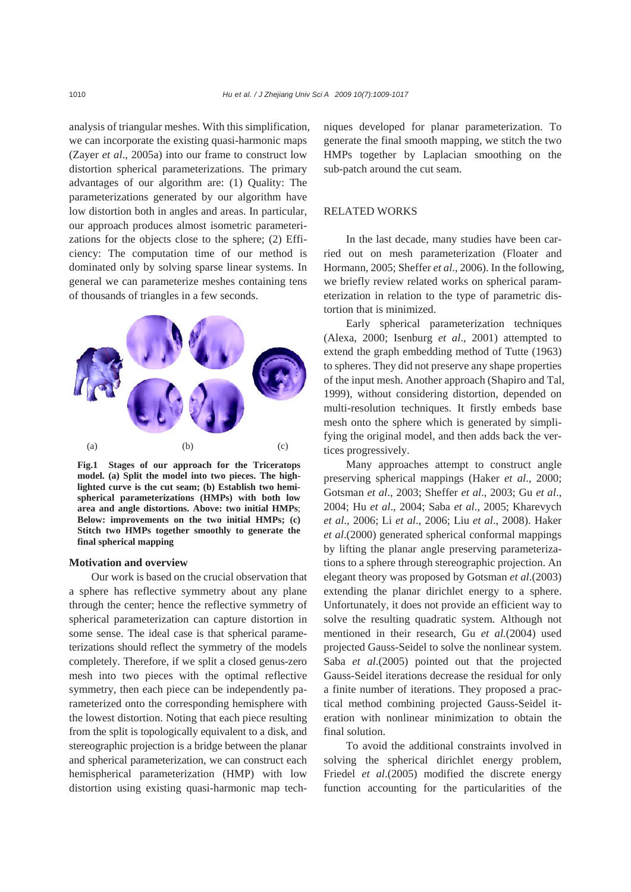analysis of triangular meshes. With this simplification, we can incorporate the existing quasi-harmonic maps (Zayer *et al*., 2005a) into our frame to construct low distortion spherical parameterizations. The primary advantages of our algorithm are: (1) Quality: The parameterizations generated by our algorithm have low distortion both in angles and areas. In particular, our approach produces almost isometric parameterizations for the objects close to the sphere; (2) Efficiency: The computation time of our method is dominated only by solving sparse linear systems. In general we can parameterize meshes containing tens of thousands of triangles in a few seconds.



**Fig.1 Stages of our approach for the Triceratops model. (a) Split the model into two pieces. The highlighted curve is the cut seam; (b) Establish two hemispherical parameterizations (HMPs) with both low area and angle distortions. Above: two initial HMPs**; **Below: improvements on the two initial HMPs; (c) Stitch two HMPs together smoothly to generate the final spherical mapping** 

## **Motivation and overview**

Our work is based on the crucial observation that a sphere has reflective symmetry about any plane through the center; hence the reflective symmetry of spherical parameterization can capture distortion in some sense. The ideal case is that spherical parameterizations should reflect the symmetry of the models completely. Therefore, if we split a closed genus-zero mesh into two pieces with the optimal reflective symmetry, then each piece can be independently parameterized onto the corresponding hemisphere with the lowest distortion. Noting that each piece resulting from the split is topologically equivalent to a disk, and stereographic projection is a bridge between the planar and spherical parameterization, we can construct each hemispherical parameterization (HMP) with low distortion using existing quasi-harmonic map techniques developed for planar parameterization. To generate the final smooth mapping, we stitch the two HMPs together by Laplacian smoothing on the sub-patch around the cut seam.

## RELATED WORKS

In the last decade, many studies have been carried out on mesh parameterization (Floater and Hormann, 2005; Sheffer *et al*., 2006). In the following, we briefly review related works on spherical parameterization in relation to the type of parametric distortion that is minimized.

Early spherical parameterization techniques (Alexa, 2000; Isenburg *et al*., 2001) attempted to extend the graph embedding method of Tutte (1963) to spheres. They did not preserve any shape properties of the input mesh. Another approach (Shapiro and Tal, 1999), without considering distortion, depended on multi-resolution techniques. It firstly embeds base mesh onto the sphere which is generated by simplifying the original model, and then adds back the vertices progressively.

Many approaches attempt to construct angle preserving spherical mappings (Haker *et al*., 2000; Gotsman *et al*., 2003; Sheffer *et al*., 2003; Gu *et al*., 2004; Hu *et al*., 2004; Saba *et al*., 2005; Kharevych *et al*., 2006; Li *et al*., 2006; Liu *et al*., 2008). Haker *et al*.(2000) generated spherical conformal mappings by lifting the planar angle preserving parameterizations to a sphere through stereographic projection. An elegant theory was proposed by Gotsman *et al*.(2003) extending the planar dirichlet energy to a sphere. Unfortunately, it does not provide an efficient way to solve the resulting quadratic system. Although not mentioned in their research, Gu *et al.*(2004) used projected Gauss-Seidel to solve the nonlinear system. Saba *et al*.(2005) pointed out that the projected Gauss-Seidel iterations decrease the residual for only a finite number of iterations. They proposed a practical method combining projected Gauss-Seidel iteration with nonlinear minimization to obtain the final solution.

To avoid the additional constraints involved in solving the spherical dirichlet energy problem, Friedel *et al*.(2005) modified the discrete energy function accounting for the particularities of the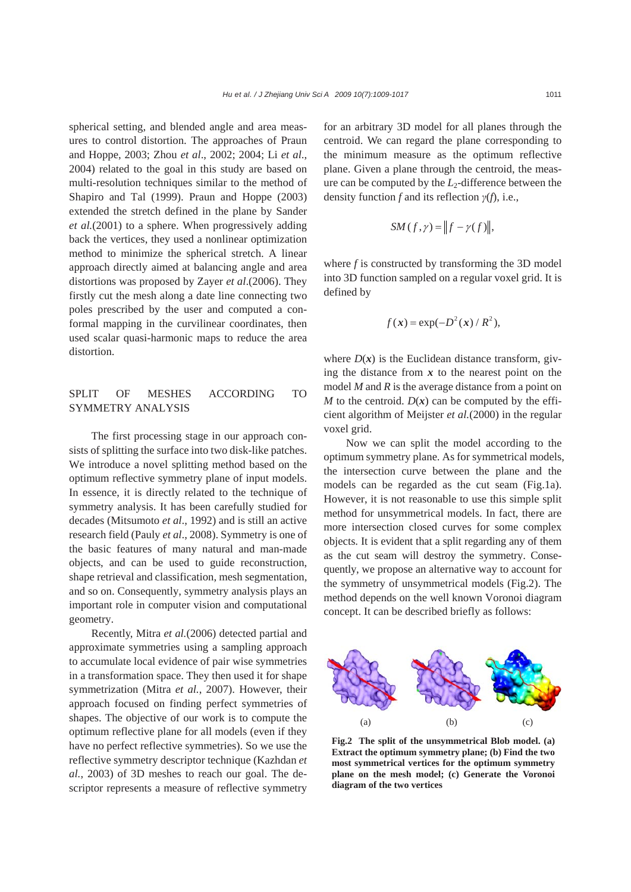spherical setting, and blended angle and area measures to control distortion. The approaches of Praun and Hoppe, 2003; Zhou *et al*., 2002; 2004; Li *et al*., 2004) related to the goal in this study are based on multi-resolution techniques similar to the method of Shapiro and Tal (1999). Praun and Hoppe (2003) extended the stretch defined in the plane by Sander *et al.*(2001) to a sphere. When progressively adding back the vertices, they used a nonlinear optimization method to minimize the spherical stretch. A linear approach directly aimed at balancing angle and area distortions was proposed by Zayer *et al*.(2006). They firstly cut the mesh along a date line connecting two poles prescribed by the user and computed a conformal mapping in the curvilinear coordinates, then used scalar quasi-harmonic maps to reduce the area distortion.

# SPLIT OF MESHES ACCORDING TO SYMMETRY ANALYSIS

The first processing stage in our approach consists of splitting the surface into two disk-like patches. We introduce a novel splitting method based on the optimum reflective symmetry plane of input models. In essence, it is directly related to the technique of symmetry analysis. It has been carefully studied for decades (Mitsumoto *et al*., 1992) and is still an active research field (Pauly *et al*., 2008). Symmetry is one of the basic features of many natural and man-made objects, and can be used to guide reconstruction, shape retrieval and classification, mesh segmentation, and so on. Consequently, symmetry analysis plays an important role in computer vision and computational geometry.

Recently, Mitra *et al.*(2006) detected partial and approximate symmetries using a sampling approach to accumulate local evidence of pair wise symmetries in a transformation space. They then used it for shape symmetrization (Mitra *et al.*, 2007). However, their approach focused on finding perfect symmetries of shapes. The objective of our work is to compute the optimum reflective plane for all models (even if they have no perfect reflective symmetries). So we use the reflective symmetry descriptor technique (Kazhdan *et al.*, 2003) of 3D meshes to reach our goal. The descriptor represents a measure of reflective symmetry for an arbitrary 3D model for all planes through the centroid. We can regard the plane corresponding to the minimum measure as the optimum reflective plane. Given a plane through the centroid, the measure can be computed by the *L*2-difference between the density function *f* and its reflection *γ*(*f*), i.e.,

$$
SM(f,\gamma) = \|f - \gamma(f)\|,
$$

where *f* is constructed by transforming the 3D model into 3D function sampled on a regular voxel grid. It is defined by

$$
f(\mathbf{x}) = \exp(-D^2(\mathbf{x})/R^2),
$$

where  $D(x)$  is the Euclidean distance transform, giving the distance from  $x$  to the nearest point on the model *M* and *R* is the average distance from a point on *M* to the centroid.  $D(x)$  can be computed by the efficient algorithm of Meijster *et al.*(2000) in the regular voxel grid.

Now we can split the model according to the optimum symmetry plane. As for symmetrical models, the intersection curve between the plane and the models can be regarded as the cut seam (Fig.1a). However, it is not reasonable to use this simple split method for unsymmetrical models. In fact, there are more intersection closed curves for some complex objects. It is evident that a split regarding any of them as the cut seam will destroy the symmetry. Consequently, we propose an alternative way to account for the symmetry of unsymmetrical models (Fig.2). The method depends on the well known Voronoi diagram concept. It can be described briefly as follows:



**Fig.2 The split of the unsymmetrical Blob model. (a) Extract the optimum symmetry plane; (b) Find the two most symmetrical vertices for the optimum symmetry plane on the mesh model; (c) Generate the Voronoi diagram of the two vertices**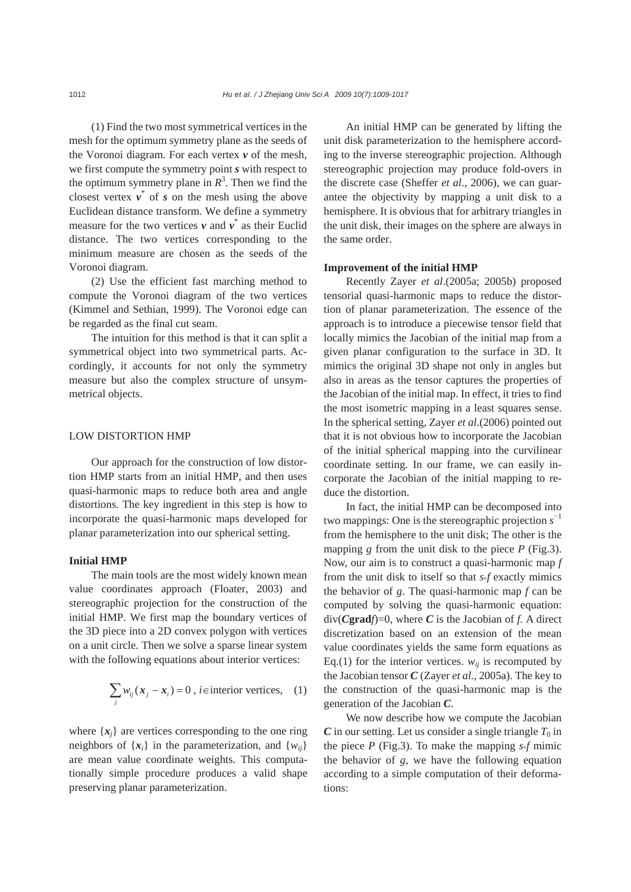(1) Find the two most symmetrical vertices in the mesh for the optimum symmetry plane as the seeds of the Voronoi diagram. For each vertex *v* of the mesh, we first compute the symmetry point *s* with respect to the optimum symmetry plane in  $R<sup>3</sup>$ . Then we find the closest vertex  $v^*$  of *s* on the mesh using the above Euclidean distance transform. We define a symmetry measure for the two vertices  $v$  and  $v^*$  as their Euclid distance. The two vertices corresponding to the minimum measure are chosen as the seeds of the Voronoi diagram.

(2) Use the efficient fast marching method to compute the Voronoi diagram of the two vertices (Kimmel and Sethian, 1999). The Voronoi edge can be regarded as the final cut seam.

The intuition for this method is that it can split a symmetrical object into two symmetrical parts. Accordingly, it accounts for not only the symmetry measure but also the complex structure of unsymmetrical objects.

## LOW DISTORTION HMP

Our approach for the construction of low distortion HMP starts from an initial HMP, and then uses quasi-harmonic maps to reduce both area and angle distortions. The key ingredient in this step is how to incorporate the quasi-harmonic maps developed for planar parameterization into our spherical setting.

# **Initial HMP**

The main tools are the most widely known mean value coordinates approach (Floater, 2003) and stereographic projection for the construction of the initial HMP. We first map the boundary vertices of the 3D piece into a 2D convex polygon with vertices on a unit circle. Then we solve a sparse linear system with the following equations about interior vertices:

$$
\sum_{j} w_{ij} (\boldsymbol{x}_{j} - \boldsymbol{x}_{i}) = 0, \, i \in \text{interior vertices}, \quad (1)
$$

where  $\{x_i\}$  are vertices corresponding to the one ring neighbors of  $\{x_i\}$  in the parameterization, and  $\{w_{ii}\}$ are mean value coordinate weights. This computationally simple procedure produces a valid shape preserving planar parameterization.

An initial HMP can be generated by lifting the unit disk parameterization to the hemisphere according to the inverse stereographic projection. Although stereographic projection may produce fold-overs in the discrete case (Sheffer *et al*., 2006), we can guarantee the objectivity by mapping a unit disk to a hemisphere. It is obvious that for arbitrary triangles in the unit disk, their images on the sphere are always in the same order.

#### **Improvement of the initial HMP**

Recently Zayer *et al*.(2005a; 2005b) proposed tensorial quasi-harmonic maps to reduce the distortion of planar parameterization. The essence of the approach is to introduce a piecewise tensor field that locally mimics the Jacobian of the initial map from a given planar configuration to the surface in 3D. It mimics the original 3D shape not only in angles but also in areas as the tensor captures the properties of the Jacobian of the initial map. In effect, it tries to find the most isometric mapping in a least squares sense. In the spherical setting, Zayer *et al*.(2006) pointed out that it is not obvious how to incorporate the Jacobian of the initial spherical mapping into the curvilinear coordinate setting. In our frame, we can easily incorporate the Jacobian of the initial mapping to reduce the distortion.

In fact, the initial HMP can be decomposed into two mappings: One is the stereographic projection *s* −1 from the hemisphere to the unit disk; The other is the mapping *g* from the unit disk to the piece *P* (Fig.3). Now, our aim is to construct a quasi-harmonic map *f* from the unit disk to itself so that *s*°*f* exactly mimics the behavior of *g*. The quasi-harmonic map *f* can be computed by solving the quasi-harmonic equation:  $div(Cgrad*f*)=0$ , where *C* is the Jacobian of *f*. A direct discretization based on an extension of the mean value coordinates yields the same form equations as Eq.(1) for the interior vertices.  $w_{ij}$  is recomputed by the Jacobian tensor *C* (Zayer *et al.*, 2005a). The key to the construction of the quasi-harmonic map is the generation of the Jacobian *C*.

We now describe how we compute the Jacobian  $C$  in our setting. Let us consider a single triangle  $T_0$  in the piece *P* (Fig.3). To make the mapping  $s \circ f$  mimic the behavior of *g*, we have the following equation according to a simple computation of their deformations: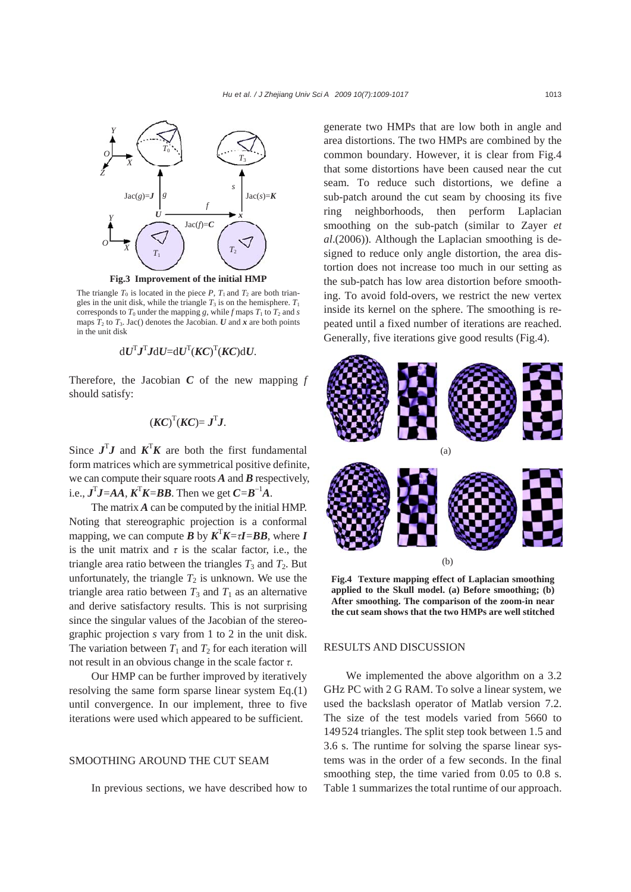

**Fig.3 Improvement of the initial HMP** 

The triangle  $T_0$  is located in the piece  $P$ ,  $T_1$  and  $T_2$  are both triangles in the unit disk, while the triangle  $T_3$  is on the hemisphere.  $T_1$ corresponds to  $T_0$  under the mapping *g*, while *f* maps  $T_1$  to  $T_2$  and *s* maps  $T_2$  to  $T_3$ . Jac() denotes the Jacobian. *U* and *x* are both points in the unit disk

$$
\mathrm{d}U^{\mathrm{T}}\mathbf{J}^{\mathrm{T}}\mathbf{J}\mathrm{d}U\mathrm{d}U^{\mathrm{T}}(\mathbf{K}C)^{\mathrm{T}}(\mathbf{K}C)\mathrm{d}U.
$$

Therefore, the Jacobian *C* of the new mapping *f* should satisfy:

$$
(\boldsymbol{KC})^{\mathrm{T}}(\boldsymbol{KC}) = \boldsymbol{J}^{\mathrm{T}}\boldsymbol{J}.
$$

Since  $J^T J$  and  $K^T K$  are both the first fundamental form matrices which are symmetrical positive definite, we can compute their square roots *A* and *B* respectively, i.e.,  $J<sup>T</sup>J = AA$ ,  $K<sup>T</sup>K = BB$ . Then we get  $C = B<sup>-1</sup>A$ .

The matrix *A* can be computed by the initial HMP. Noting that stereographic projection is a conformal mapping, we can compute *B* by  $K^T K = \tau I = BB$ , where *I* is the unit matrix and  $\tau$  is the scalar factor, i.e., the triangle area ratio between the triangles  $T_3$  and  $T_2$ . But unfortunately, the triangle  $T_2$  is unknown. We use the triangle area ratio between  $T_3$  and  $T_1$  as an alternative and derive satisfactory results. This is not surprising since the singular values of the Jacobian of the stereographic projection *s* vary from 1 to 2 in the unit disk. The variation between  $T_1$  and  $T_2$  for each iteration will not result in an obvious change in the scale factor *τ.* 

Our HMP can be further improved by iteratively resolving the same form sparse linear system Eq.(1) until convergence. In our implement, three to five iterations were used which appeared to be sufficient.

## SMOOTHING AROUND THE CUT SEAM

In previous sections, we have described how to

generate two HMPs that are low both in angle and area distortions. The two HMPs are combined by the common boundary. However, it is clear from Fig.4 that some distortions have been caused near the cut seam. To reduce such distortions, we define a sub-patch around the cut seam by choosing its five ring neighborhoods, then perform Laplacian smoothing on the sub-patch (similar to Zayer *et al*.(2006)). Although the Laplacian smoothing is designed to reduce only angle distortion, the area distortion does not increase too much in our setting as the sub-patch has low area distortion before smoothing. To avoid fold-overs, we restrict the new vertex inside its kernel on the sphere. The smoothing is repeated until a fixed number of iterations are reached. Generally, five iterations give good results (Fig.4).



**Fig.4 Texture mapping effect of Laplacian smoothing applied to the Skull model. (a) Before smoothing; (b) After smoothing. The comparison of the zoom-in near the cut seam shows that the two HMPs are well stitched**

## RESULTS AND DISCUSSION

We implemented the above algorithm on a 3.2 GHz PC with 2 G RAM. To solve a linear system, we used the backslash operator of Matlab version 7.2. The size of the test models varied from 5660 to 149524 triangles. The split step took between 1.5 and 3.6 s. The runtime for solving the sparse linear systems was in the order of a few seconds. In the final smoothing step, the time varied from 0.05 to 0.8 s. Table 1 summarizes the total runtime of our approach.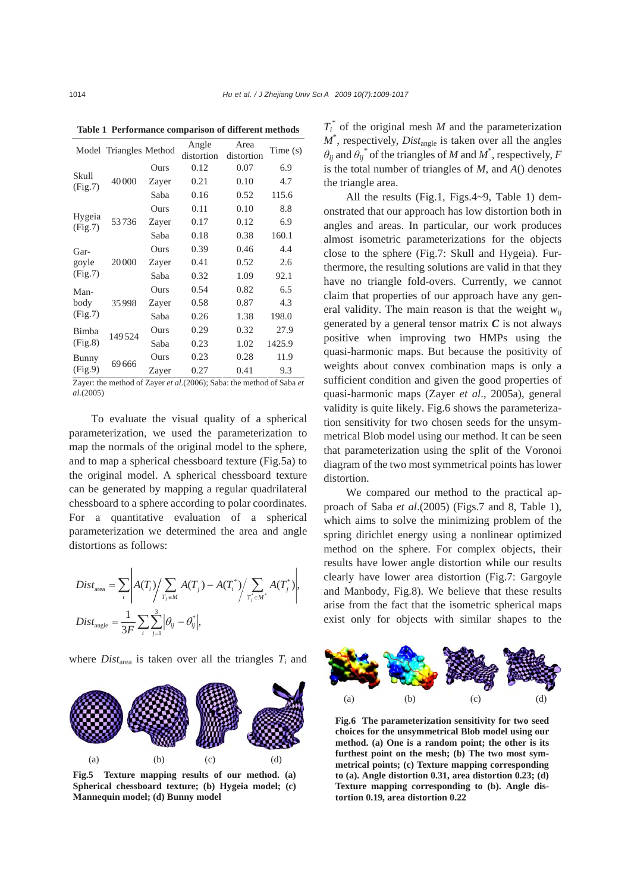|                                                                       | Model Triangles Method |       | Angle<br>distortion | Area<br>distortion | Time(s) |
|-----------------------------------------------------------------------|------------------------|-------|---------------------|--------------------|---------|
| Skull<br>(Fig.7)                                                      | 40000                  | Ours  | 0.12                | 0.07               | 6.9     |
|                                                                       |                        | Zayer | 0.21                | 0.10               | 4.7     |
|                                                                       |                        | Saba  | 0.16                | 0.52               | 115.6   |
| Hygeia<br>(Fig.7)                                                     | 53736                  | Ours  | 0.11                | 0.10               | 8.8     |
|                                                                       |                        | Zayer | 0.17                | 0.12               | 6.9     |
|                                                                       |                        | Saba  | 0.18                | 0.38               | 160.1   |
| Gar-<br>goyle<br>(Fig.7)                                              | 20000                  | Ours  | 0.39                | 0.46               | 4.4     |
|                                                                       |                        | Zayer | 0.41                | 0.52               | 2.6     |
|                                                                       |                        | Saba  | 0.32                | 1.09               | 92.1    |
| Man-<br>body<br>(Fig.7)                                               | 35998                  | Ours  | 0.54                | 0.82               | 6.5     |
|                                                                       |                        | Zayer | 0.58                | 0.87               | 4.3     |
|                                                                       |                        | Saba  | 0.26                | 1.38               | 198.0   |
| Bimba<br>(Fig.8)                                                      | 149524                 | Ours  | 0.29                | 0.32               | 27.9    |
|                                                                       |                        | Saba  | 0.23                | 1.02               | 1425.9  |
| Bunny<br>(Fig.9)                                                      | 69666                  | Ours  | 0.23                | 0.28               | 11.9    |
|                                                                       |                        | Zayer | 0.27                | 0.41               | 9.3     |
| Zarran the mathed of Zarran at al (2006). Sokey the mathed of Soke at |                        |       |                     |                    |         |

**Table 1 Performance comparison of different methods**

Zayer: the method of Zayer *et al.*(2006); Saba: the method of Saba *et al.*(2005)

To evaluate the visual quality of a spherical parameterization, we used the parameterization to map the normals of the original model to the sphere, and to map a spherical chessboard texture (Fig.5a) to the original model. A spherical chessboard texture can be generated by mapping a regular quadrilateral chessboard to a sphere according to polar coordinates. For a quantitative evaluation of a spherical parameterization we determined the area and angle distortions as follows:

$$
Dist_{\text{area}} = \sum_{i} \left| A(T_i) / \sum_{T_j \in M} A(T_j) - A(T_i^*) / \sum_{T_j^* \in M^*} A(T_j^*) \right|,
$$
  

$$
Dist_{\text{angle}} = \frac{1}{3F} \sum_{i} \sum_{j=1}^{3} \left| \theta_{ij} - \theta_{ij}^* \right|,
$$

where  $Dist_{area}$  is taken over all the triangles  $T_i$  and



**Fig.5 Texture mapping results of our method. (a) Spherical chessboard texture; (b) Hygeia model; (c) Mannequin model; (d) Bunny model** 

 $T_i^*$  of the original mesh *M* and the parameterization  $M^*$ , respectively, *Dist*<sub>angle</sub> is taken over all the angles  $\theta_{ij}$  and  $\theta_{ij}$ <sup>\*</sup> of the triangles of *M* and *M*<sup>\*</sup>, respectively, *F* is the total number of triangles of *M*, and *A*() denotes the triangle area.

All the results (Fig.1, Figs.4~9, Table 1) demonstrated that our approach has low distortion both in angles and areas. In particular, our work produces almost isometric parameterizations for the objects close to the sphere (Fig.7: Skull and Hygeia). Furthermore, the resulting solutions are valid in that they have no triangle fold-overs. Currently, we cannot claim that properties of our approach have any general validity. The main reason is that the weight  $w_{ii}$ generated by a general tensor matrix *C* is not always positive when improving two HMPs using the quasi-harmonic maps. But because the positivity of weights about convex combination maps is only a sufficient condition and given the good properties of quasi-harmonic maps (Zayer *et al*., 2005a), general validity is quite likely. Fig.6 shows the parameterization sensitivity for two chosen seeds for the unsymmetrical Blob model using our method. It can be seen that parameterization using the split of the Voronoi diagram of the two most symmetrical points has lower distortion.

We compared our method to the practical approach of Saba *et al*.(2005) (Figs.7 and 8, Table 1), which aims to solve the minimizing problem of the spring dirichlet energy using a nonlinear optimized method on the sphere. For complex objects, their results have lower angle distortion while our results clearly have lower area distortion (Fig.7: Gargoyle and Manbody, Fig.8). We believe that these results arise from the fact that the isometric spherical maps exist only for objects with similar shapes to the



**Fig.6 The parameterization sensitivity for two seed choices for the unsymmetrical Blob model using our method. (a) One is a random point; the other is its furthest point on the mesh; (b) The two most symmetrical points; (c) Texture mapping corresponding to (a). Angle distortion 0.31, area distortion 0.23; (d) Texture mapping corresponding to (b). Angle distortion 0.19, area distortion 0.22**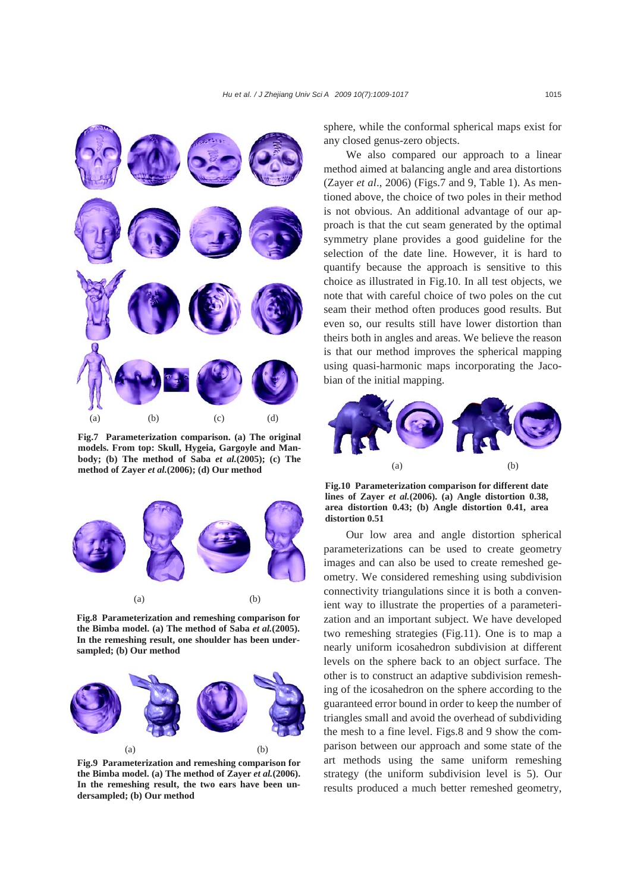

**Fig.7 Parameterization comparison. (a) The original models. From top: Skull, Hygeia, Gargoyle and Manbody; (b) The method of Saba** *et al.***(2005); (c) The method of Zayer** *et al.***(2006); (d) Our method** 



**Fig.8 Parameterization and remeshing comparison for the Bimba model. (a) The method of Saba** *et al.***(2005). In the remeshing result, one shoulder has been undersampled; (b) Our method** 



**Fig.9 Parameterization and remeshing comparison for the Bimba model. (a) The method of Zayer** *et al.***(2006). In the remeshing result, the two ears have been undersampled; (b) Our method** 

sphere, while the conformal spherical maps exist for any closed genus-zero objects.

We also compared our approach to a linear method aimed at balancing angle and area distortions (Zayer *et al*., 2006) (Figs.7 and 9, Table 1). As mentioned above, the choice of two poles in their method is not obvious. An additional advantage of our approach is that the cut seam generated by the optimal symmetry plane provides a good guideline for the selection of the date line. However, it is hard to quantify because the approach is sensitive to this choice as illustrated in Fig.10. In all test objects, we note that with careful choice of two poles on the cut seam their method often produces good results. But even so, our results still have lower distortion than theirs both in angles and areas. We believe the reason is that our method improves the spherical mapping using quasi-harmonic maps incorporating the Jacobian of the initial mapping.



**Fig.10 Parameterization comparison for different date lines of Zayer** *et al.***(2006). (a) Angle distortion 0.38, area distortion 0.43; (b) Angle distortion 0.41, area distortion 0.51** 

Our low area and angle distortion spherical parameterizations can be used to create geometry images and can also be used to create remeshed geometry. We considered remeshing using subdivision connectivity triangulations since it is both a convenient way to illustrate the properties of a parameterization and an important subject. We have developed two remeshing strategies (Fig.11). One is to map a nearly uniform icosahedron subdivision at different levels on the sphere back to an object surface. The other is to construct an adaptive subdivision remeshing of the icosahedron on the sphere according to the guaranteed error bound in order to keep the number of triangles small and avoid the overhead of subdividing the mesh to a fine level. Figs.8 and 9 show the comparison between our approach and some state of the art methods using the same uniform remeshing strategy (the uniform subdivision level is 5). Our results produced a much better remeshed geometry,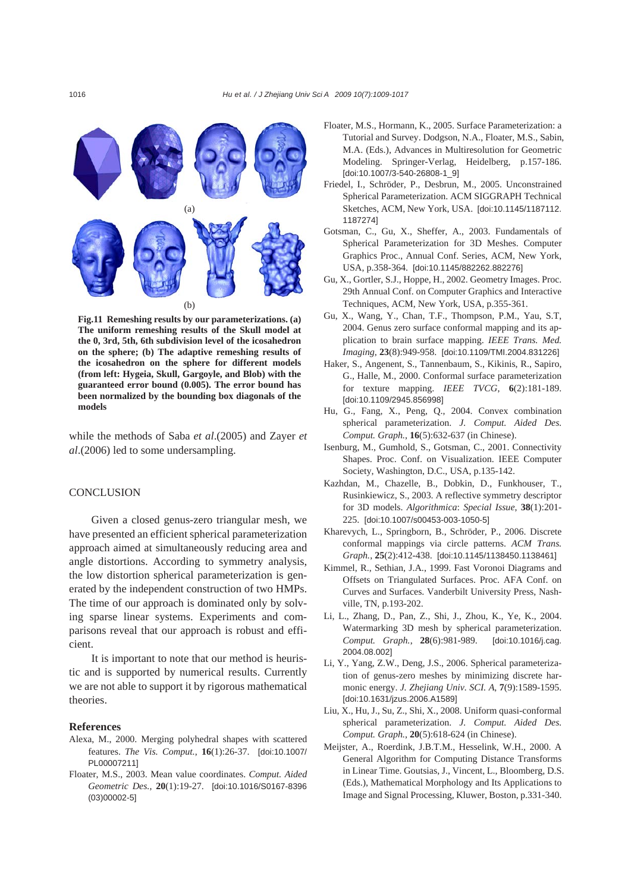

**Fig.11 Remeshing results by our parameterizations. (a) The uniform remeshing results of the Skull model at the 0, 3rd, 5th, 6th subdivision level of the icosahedron on the sphere; (b) The adaptive remeshing results of the icosahedron on the sphere for different models (from left: Hygeia, Skull, Gargoyle, and Blob) with the guaranteed error bound (0.005). The error bound has been normalized by the bounding box diagonals of the models** 

while the methods of Saba *et al*.(2005) and Zayer *et al*.(2006) led to some undersampling.

# **CONCLUSION**

Given a closed genus-zero triangular mesh, we have presented an efficient spherical parameterization approach aimed at simultaneously reducing area and angle distortions. According to symmetry analysis, the low distortion spherical parameterization is generated by the independent construction of two HMPs. The time of our approach is dominated only by solving sparse linear systems. Experiments and comparisons reveal that our approach is robust and efficient.

It is important to note that our method is heuristic and is supported by numerical results. Currently we are not able to support it by rigorous mathematical theories.

# **References**

- Alexa, M., 2000. Merging polyhedral shapes with scattered features. *The Vis. Comput.*, **16**(1):26-37. [doi:10.1007/ PL00007211]
- Floater, M.S., 2003. Mean value coordinates. *Comput. Aided Geometric Des.*, **20**(1):19-27. [doi:10.1016/S0167-8396 (03)00002-5]
- Floater, M.S., Hormann, K., 2005. Surface Parameterization: a Tutorial and Survey. Dodgson, N.A., Floater, M.S., Sabin, M.A. (Eds.), Advances in Multiresolution for Geometric Modeling. Springer-Verlag, Heidelberg, p.157-186. [doi:10.1007/3-540-26808-1\_9]
- Friedel, I., Schröder, P., Desbrun, M., 2005. Unconstrained Spherical Parameterization. ACM SIGGRAPH Technical Sketches, ACM, New York, USA. [doi:10.1145/1187112. 1187274]
- Gotsman, C., Gu, X., Sheffer, A., 2003. Fundamentals of Spherical Parameterization for 3D Meshes. Computer Graphics Proc., Annual Conf. Series, ACM, New York, USA, p.358-364. [doi:10.1145/882262.882276]
- Gu, X., Gortler, S.J., Hoppe, H., 2002. Geometry Images. Proc. 29th Annual Conf. on Computer Graphics and Interactive Techniques, ACM, New York, USA, p.355-361.
- Gu, X., Wang, Y., Chan, T.F., Thompson, P.M., Yau, S.T, 2004. Genus zero surface conformal mapping and its application to brain surface mapping. *IEEE Trans. Med. Imaging*, **23**(8):949-958. [doi:10.1109/TMI.2004.831226]
- Haker, S., Angenent, S., Tannenbaum, S., Kikinis, R., Sapiro, G., Halle, M., 2000. Conformal surface parameterization for texture mapping. *IEEE TVCG*, **6**(2):181-189. [doi:10.1109/2945.856998]
- Hu, G., Fang, X., Peng, Q., 2004. Convex combination spherical parameterization. *J. Comput. Aided Des. Comput. Graph.*, **16**(5):632-637 (in Chinese).
- Isenburg, M., Gumhold, S., Gotsman, C., 2001. Connectivity Shapes. Proc. Conf. on Visualization. IEEE Computer Society, Washington, D.C., USA, p.135-142.
- Kazhdan, M., Chazelle, B., Dobkin, D., Funkhouser, T., Rusinkiewicz, S., 2003. A reflective symmetry descriptor for 3D models. *Algorithmica*: *Special Issue*, **38**(1):201- 225. [doi:10.1007/s00453-003-1050-5]
- Kharevych, L., Springborn, B., Schröder, P., 2006. Discrete conformal mappings via circle patterns. *ACM Trans. Graph.*, **25**(2):412-438. [doi:10.1145/1138450.1138461]
- Kimmel, R., Sethian, J.A., 1999. Fast Voronoi Diagrams and Offsets on Triangulated Surfaces. Proc. AFA Conf. on Curves and Surfaces. Vanderbilt University Press, Nashville, TN, p.193-202.
- Li, L., Zhang, D., Pan, Z., Shi, J., Zhou, K., Ye, K., 2004. Watermarking 3D mesh by spherical parameterization. *Comput. Graph.*, **28**(6):981-989. [doi:10.1016/j.cag. 2004.08.002]
- Li, Y., Yang, Z.W., Deng, J.S., 2006. Spherical parameterization of genus-zero meshes by minimizing discrete harmonic energy. *J. Zhejiang Univ. SCI. A*, **7**(9):1589-1595. [doi:10.1631/jzus.2006.A1589]
- Liu, X., Hu, J., Su, Z., Shi, X., 2008. Uniform quasi-conformal spherical parameterization. *J. Comput. Aided Des. Comput. Graph.*, **20**(5):618-624 (in Chinese).
- Meijster, A., Roerdink, J.B.T.M., Hesselink, W.H., 2000. A General Algorithm for Computing Distance Transforms in Linear Time. Goutsias, J., Vincent, L., Bloomberg, D.S. (Eds.), Mathematical Morphology and Its Applications to Image and Signal Processing, Kluwer, Boston, p.331-340.